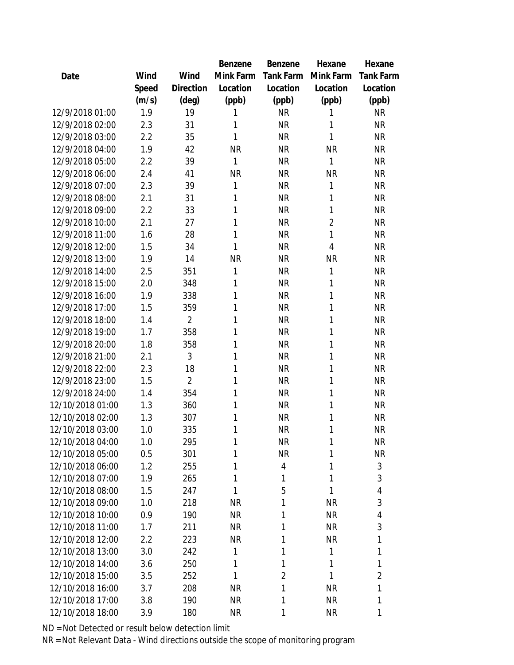|                  |       |                | <b>Benzene</b> | Benzene   | Hexane         | Hexane           |
|------------------|-------|----------------|----------------|-----------|----------------|------------------|
| Date             | Wind  | Wind           | Mink Farm      | Tank Farm | Mink Farm      | <b>Tank Farm</b> |
|                  | Speed | Direction      | Location       | Location  | Location       | Location         |
|                  | (m/s) | (deg)          | (ppb)          | (ppb)     | (ppb)          | (ppb)            |
| 12/9/2018 01:00  | 1.9   | 19             | 1              | <b>NR</b> | 1              | <b>NR</b>        |
| 12/9/2018 02:00  | 2.3   | 31             | 1              | <b>NR</b> | 1              | <b>NR</b>        |
| 12/9/2018 03:00  | 2.2   | 35             | 1              | <b>NR</b> | 1              | <b>NR</b>        |
| 12/9/2018 04:00  | 1.9   | 42             | <b>NR</b>      | <b>NR</b> | <b>NR</b>      | <b>NR</b>        |
| 12/9/2018 05:00  | 2.2   | 39             | 1              | <b>NR</b> | 1              | <b>NR</b>        |
| 12/9/2018 06:00  | 2.4   | 41             | <b>NR</b>      | <b>NR</b> | <b>NR</b>      | <b>NR</b>        |
| 12/9/2018 07:00  | 2.3   | 39             | 1              | <b>NR</b> | 1              | <b>NR</b>        |
| 12/9/2018 08:00  | 2.1   | 31             | 1              | <b>NR</b> | 1              | <b>NR</b>        |
| 12/9/2018 09:00  | 2.2   | 33             | 1              | <b>NR</b> | 1              | <b>NR</b>        |
| 12/9/2018 10:00  | 2.1   | 27             | 1              | <b>NR</b> | $\overline{2}$ | <b>NR</b>        |
| 12/9/2018 11:00  | 1.6   | 28             | 1              | <b>NR</b> | $\mathbf{1}$   | <b>NR</b>        |
| 12/9/2018 12:00  | 1.5   | 34             | 1              | <b>NR</b> | $\overline{4}$ | <b>NR</b>        |
| 12/9/2018 13:00  | 1.9   | 14             | <b>NR</b>      | <b>NR</b> | <b>NR</b>      | <b>NR</b>        |
| 12/9/2018 14:00  | 2.5   | 351            | 1              | <b>NR</b> | 1              | <b>NR</b>        |
| 12/9/2018 15:00  | 2.0   | 348            | 1              | <b>NR</b> | 1              | <b>NR</b>        |
| 12/9/2018 16:00  | 1.9   | 338            | 1              | <b>NR</b> | 1              | <b>NR</b>        |
| 12/9/2018 17:00  | 1.5   | 359            | 1              | <b>NR</b> | 1              | <b>NR</b>        |
| 12/9/2018 18:00  | 1.4   | $\overline{2}$ | 1              | <b>NR</b> | 1              | <b>NR</b>        |
| 12/9/2018 19:00  | 1.7   | 358            | 1              | <b>NR</b> | 1              | <b>NR</b>        |
| 12/9/2018 20:00  | 1.8   | 358            | 1              | <b>NR</b> | 1              | <b>NR</b>        |
| 12/9/2018 21:00  | 2.1   | 3              | 1              | <b>NR</b> | 1              | <b>NR</b>        |
| 12/9/2018 22:00  | 2.3   | 18             | 1              | <b>NR</b> | 1              | <b>NR</b>        |
| 12/9/2018 23:00  | 1.5   | $\overline{2}$ | 1              | <b>NR</b> | 1              | <b>NR</b>        |
| 12/9/2018 24:00  | 1.4   | 354            | 1              | <b>NR</b> | 1              | <b>NR</b>        |
| 12/10/2018 01:00 | 1.3   | 360            | 1              | <b>NR</b> | 1              | <b>NR</b>        |
| 12/10/2018 02:00 | 1.3   | 307            | 1              | <b>NR</b> | $\mathbf{1}$   | <b>NR</b>        |
| 12/10/2018 03:00 | 1.0   | 335            | 1              | <b>NR</b> | 1              | <b>NR</b>        |
| 12/10/2018 04:00 | 1.0   | 295            | 1              | <b>NR</b> | 1              | <b>NR</b>        |
| 12/10/2018 05:00 | 0.5   | 301            | 1              | <b>NR</b> | 1              | <b>NR</b>        |
| 12/10/2018 06:00 | 1.2   | 255            | 1              | 4         | 1              | 3                |
| 12/10/2018 07:00 | 1.9   | 265            | 1              | 1         | 1              | 3                |
| 12/10/2018 08:00 | 1.5   | 247            | 1              | 5         | 1              | 4                |
| 12/10/2018 09:00 | 1.0   | 218            | <b>NR</b>      | 1         | <b>NR</b>      | 3                |
| 12/10/2018 10:00 | 0.9   | 190            | <b>NR</b>      | 1         | <b>NR</b>      | 4                |
| 12/10/2018 11:00 | 1.7   | 211            | <b>NR</b>      | 1         | <b>NR</b>      | 3                |
| 12/10/2018 12:00 | 2.2   | 223            | <b>NR</b>      | 1         | <b>NR</b>      | 1                |
| 12/10/2018 13:00 | 3.0   | 242            | 1              | 1         | 1              | 1                |
| 12/10/2018 14:00 | 3.6   | 250            | 1              | 1         | 1              | 1                |
| 12/10/2018 15:00 | 3.5   | 252            | 1              | 2         | 1              | $\overline{2}$   |
| 12/10/2018 16:00 | 3.7   | 208            | <b>NR</b>      | 1         | <b>NR</b>      | 1                |
| 12/10/2018 17:00 | 3.8   | 190            | <b>NR</b>      | 1         | <b>NR</b>      | 1                |
| 12/10/2018 18:00 | 3.9   | 180            | <b>NR</b>      | 1         | <b>NR</b>      | 1                |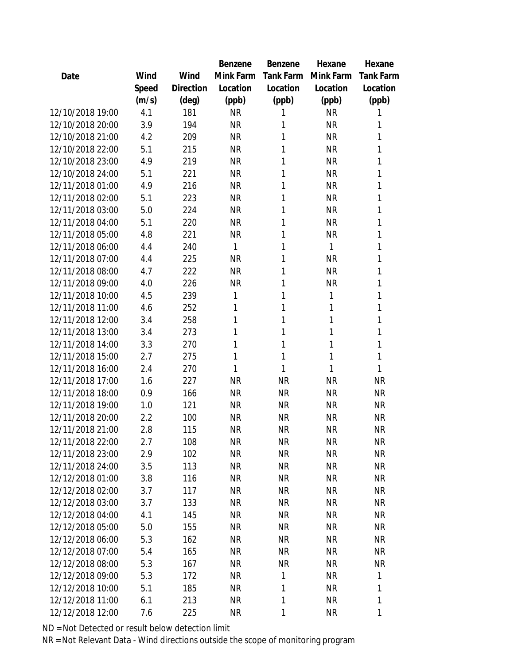|                  |       |           | Benzene   | <b>Benzene</b> | Hexane    | Hexane           |
|------------------|-------|-----------|-----------|----------------|-----------|------------------|
| Date             | Wind  | Wind      | Mink Farm | Tank Farm      | Mink Farm | <b>Tank Farm</b> |
|                  | Speed | Direction | Location  | Location       | Location  | Location         |
|                  | (m/s) | (deg)     | (ppb)     | (ppb)          | (ppb)     | (ppb)            |
| 12/10/2018 19:00 | 4.1   | 181       | <b>NR</b> | 1              | <b>NR</b> | 1                |
| 12/10/2018 20:00 | 3.9   | 194       | <b>NR</b> | 1              | <b>NR</b> | 1                |
| 12/10/2018 21:00 | 4.2   | 209       | <b>NR</b> | 1              | <b>NR</b> | 1                |
| 12/10/2018 22:00 | 5.1   | 215       | <b>NR</b> | 1              | <b>NR</b> | 1                |
| 12/10/2018 23:00 | 4.9   | 219       | <b>NR</b> | 1              | <b>NR</b> | 1                |
| 12/10/2018 24:00 | 5.1   | 221       | <b>NR</b> | 1              | <b>NR</b> | 1                |
| 12/11/2018 01:00 | 4.9   | 216       | <b>NR</b> | 1              | <b>NR</b> | 1                |
| 12/11/2018 02:00 | 5.1   | 223       | <b>NR</b> | 1              | <b>NR</b> | 1                |
| 12/11/2018 03:00 | 5.0   | 224       | <b>NR</b> | 1              | <b>NR</b> | 1                |
| 12/11/2018 04:00 | 5.1   | 220       | <b>NR</b> | 1              | <b>NR</b> | 1                |
| 12/11/2018 05:00 | 4.8   | 221       | <b>NR</b> | 1              | <b>NR</b> | 1                |
| 12/11/2018 06:00 | 4.4   | 240       | 1         | 1              | 1         | 1                |
| 12/11/2018 07:00 | 4.4   | 225       | <b>NR</b> | 1              | <b>NR</b> | 1                |
| 12/11/2018 08:00 | 4.7   | 222       | <b>NR</b> | 1              | <b>NR</b> | 1                |
| 12/11/2018 09:00 | 4.0   | 226       | <b>NR</b> | 1              | <b>NR</b> | 1                |
| 12/11/2018 10:00 | 4.5   | 239       | 1         | 1              | 1         | 1                |
| 12/11/2018 11:00 | 4.6   | 252       | 1         | 1              | 1         | 1                |
| 12/11/2018 12:00 | 3.4   | 258       | 1         | 1              | 1         | 1                |
| 12/11/2018 13:00 | 3.4   | 273       | 1         | 1              | 1         | 1                |
| 12/11/2018 14:00 | 3.3   | 270       | 1         | 1              | 1         | 1                |
| 12/11/2018 15:00 | 2.7   | 275       | 1         | 1              | 1         | 1                |
| 12/11/2018 16:00 | 2.4   | 270       | 1         | 1              | 1         | 1                |
| 12/11/2018 17:00 | 1.6   | 227       | <b>NR</b> | <b>NR</b>      | <b>NR</b> | <b>NR</b>        |
| 12/11/2018 18:00 | 0.9   | 166       | <b>NR</b> | <b>NR</b>      | <b>NR</b> | <b>NR</b>        |
| 12/11/2018 19:00 | 1.0   | 121       | <b>NR</b> | <b>NR</b>      | <b>NR</b> | <b>NR</b>        |
| 12/11/2018 20:00 | 2.2   | 100       | <b>NR</b> | <b>NR</b>      | <b>NR</b> | <b>NR</b>        |
| 12/11/2018 21:00 | 2.8   | 115       | <b>NR</b> | <b>NR</b>      | <b>NR</b> | <b>NR</b>        |
| 12/11/2018 22:00 | 2.7   | 108       | <b>NR</b> | <b>NR</b>      | <b>NR</b> | <b>NR</b>        |
| 12/11/2018 23:00 | 2.9   | 102       | <b>NR</b> | <b>NR</b>      | <b>NR</b> | <b>NR</b>        |
| 12/11/2018 24:00 | 3.5   | 113       | <b>NR</b> | <b>NR</b>      | <b>NR</b> | <b>NR</b>        |
| 12/12/2018 01:00 | 3.8   | 116       | <b>NR</b> | <b>NR</b>      | <b>NR</b> | <b>NR</b>        |
| 12/12/2018 02:00 | 3.7   | 117       | <b>NR</b> | <b>NR</b>      | <b>NR</b> | <b>NR</b>        |
| 12/12/2018 03:00 | 3.7   | 133       | <b>NR</b> | <b>NR</b>      | <b>NR</b> | NR               |
| 12/12/2018 04:00 | 4.1   | 145       | <b>NR</b> | <b>NR</b>      | <b>NR</b> | <b>NR</b>        |
| 12/12/2018 05:00 | 5.0   | 155       | <b>NR</b> | <b>NR</b>      | <b>NR</b> | <b>NR</b>        |
| 12/12/2018 06:00 | 5.3   | 162       | <b>NR</b> | <b>NR</b>      | <b>NR</b> | <b>NR</b>        |
| 12/12/2018 07:00 | 5.4   | 165       | <b>NR</b> | <b>NR</b>      | <b>NR</b> | NR               |
| 12/12/2018 08:00 | 5.3   | 167       | <b>NR</b> | <b>NR</b>      | <b>NR</b> | <b>NR</b>        |
| 12/12/2018 09:00 | 5.3   | 172       | <b>NR</b> | 1              | <b>NR</b> | 1                |
| 12/12/2018 10:00 | 5.1   | 185       | NR.       | 1              | NR        | 1                |
| 12/12/2018 11:00 | 6.1   | 213       | <b>NR</b> | 1              | <b>NR</b> | 1                |
| 12/12/2018 12:00 | 7.6   | 225       | <b>NR</b> | 1              | <b>NR</b> | 1                |
|                  |       |           |           |                |           |                  |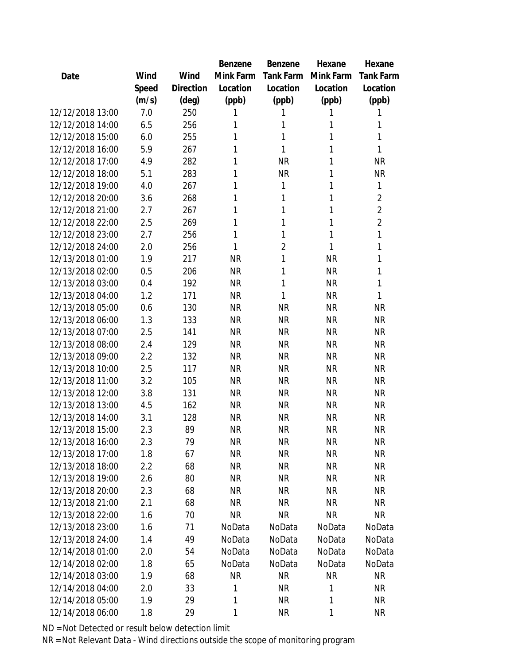|                  |       |                | Benzene   | Benzene   | Hexane    | Hexane         |
|------------------|-------|----------------|-----------|-----------|-----------|----------------|
| Date             | Wind  | Wind           | Mink Farm | Tank Farm | Mink Farm | Tank Farm      |
|                  | Speed | Direction      | Location  | Location  | Location  | Location       |
|                  | (m/s) | $(\text{deg})$ | (ppb)     | (ppb)     | (ppb)     | (ppb)          |
| 12/12/2018 13:00 | 7.0   | 250            | 1         |           | 1         | 1              |
| 12/12/2018 14:00 | 6.5   | 256            | 1         | 1         | 1         | 1              |
| 12/12/2018 15:00 | 6.0   | 255            | 1         | 1         | 1         | 1              |
| 12/12/2018 16:00 | 5.9   | 267            | 1         | 1         | 1         | 1              |
| 12/12/2018 17:00 | 4.9   | 282            | 1         | <b>NR</b> | 1         | <b>NR</b>      |
| 12/12/2018 18:00 | 5.1   | 283            | 1         | <b>NR</b> | 1         | <b>NR</b>      |
| 12/12/2018 19:00 | 4.0   | 267            | 1         | 1         | 1         | 1              |
| 12/12/2018 20:00 | 3.6   | 268            | 1         | 1         | 1         | $\overline{2}$ |
| 12/12/2018 21:00 | 2.7   | 267            | 1         | 1         | 1         | $\overline{2}$ |
| 12/12/2018 22:00 | 2.5   | 269            | 1         | 1         | 1         | $\overline{2}$ |
| 12/12/2018 23:00 | 2.7   | 256            | 1         | 1         | 1         | $\mathbf{1}$   |
| 12/12/2018 24:00 | 2.0   | 256            | 1         | 2         | 1         | 1              |
| 12/13/2018 01:00 | 1.9   | 217            | <b>NR</b> | 1         | <b>NR</b> | 1              |
| 12/13/2018 02:00 | 0.5   | 206            | <b>NR</b> | 1         | <b>NR</b> | 1              |
| 12/13/2018 03:00 | 0.4   | 192            | <b>NR</b> | 1         | <b>NR</b> | 1              |
| 12/13/2018 04:00 | 1.2   | 171            | <b>NR</b> | 1         | <b>NR</b> | 1              |
| 12/13/2018 05:00 | 0.6   | 130            | <b>NR</b> | <b>NR</b> | <b>NR</b> | <b>NR</b>      |
| 12/13/2018 06:00 | 1.3   | 133            | <b>NR</b> | <b>NR</b> | <b>NR</b> | <b>NR</b>      |
| 12/13/2018 07:00 | 2.5   | 141            | <b>NR</b> | <b>NR</b> | <b>NR</b> | <b>NR</b>      |
| 12/13/2018 08:00 | 2.4   | 129            | <b>NR</b> | <b>NR</b> | <b>NR</b> | <b>NR</b>      |
| 12/13/2018 09:00 | 2.2   | 132            | <b>NR</b> | <b>NR</b> | <b>NR</b> | <b>NR</b>      |
| 12/13/2018 10:00 | 2.5   | 117            | <b>NR</b> | <b>NR</b> | <b>NR</b> | <b>NR</b>      |
| 12/13/2018 11:00 | 3.2   | 105            | <b>NR</b> | <b>NR</b> | <b>NR</b> | <b>NR</b>      |
| 12/13/2018 12:00 | 3.8   | 131            | <b>NR</b> | <b>NR</b> | <b>NR</b> | <b>NR</b>      |
| 12/13/2018 13:00 | 4.5   | 162            | <b>NR</b> | <b>NR</b> | <b>NR</b> | NR             |
| 12/13/2018 14:00 | 3.1   | 128            | <b>NR</b> | <b>NR</b> | <b>NR</b> | <b>NR</b>      |
| 12/13/2018 15:00 | 2.3   | 89             | <b>NR</b> | <b>NR</b> | <b>NR</b> | <b>NR</b>      |
| 12/13/2018 16:00 | 2.3   | 79             | <b>NR</b> | <b>NR</b> | <b>NR</b> | <b>NR</b>      |
| 12/13/2018 17:00 | 1.8   | 67             | <b>NR</b> | <b>NR</b> | <b>NR</b> | <b>NR</b>      |
| 12/13/2018 18:00 | 2.2   | 68             | <b>NR</b> | <b>NR</b> | <b>NR</b> | <b>NR</b>      |
| 12/13/2018 19:00 | 2.6   | 80             | <b>NR</b> | NR        | NR        | <b>NR</b>      |
| 12/13/2018 20:00 | 2.3   | 68             | <b>NR</b> | <b>NR</b> | <b>NR</b> | NR             |
| 12/13/2018 21:00 | 2.1   | 68             | <b>NR</b> | <b>NR</b> | <b>NR</b> | <b>NR</b>      |
| 12/13/2018 22:00 | 1.6   | 70             | <b>NR</b> | <b>NR</b> | <b>NR</b> | NR.            |
| 12/13/2018 23:00 | 1.6   | 71             | NoData    | NoData    | NoData    | NoData         |
| 12/13/2018 24:00 | 1.4   | 49             | NoData    | NoData    | NoData    | NoData         |
| 12/14/2018 01:00 | 2.0   | 54             | NoData    | NoData    | NoData    | NoData         |
| 12/14/2018 02:00 | 1.8   | 65             | NoData    | NoData    | NoData    | NoData         |
| 12/14/2018 03:00 | 1.9   | 68             | <b>NR</b> | NR        | <b>NR</b> | <b>NR</b>      |
| 12/14/2018 04:00 | 2.0   | 33             | 1         | <b>NR</b> | 1         | <b>NR</b>      |
| 12/14/2018 05:00 | 1.9   | 29             | 1         | <b>NR</b> | 1         | <b>NR</b>      |
| 12/14/2018 06:00 | 1.8   | 29             | 1         | <b>NR</b> | 1         | <b>NR</b>      |
|                  |       |                |           |           |           |                |